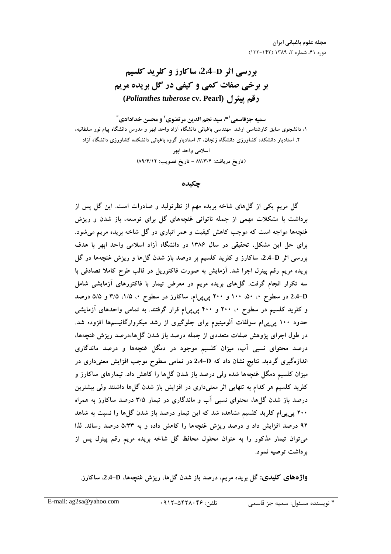مجله علوم باغباني ايران دوره ۴۱، شماره ۲، ۱۳۸۹ (۱۴۲-۱۳۳)

# **بررسی اثر 5-2،4، ساکارز و کلرید کلسیم بر برخی صفات کمی و کیفی در گل بریده مریم** (Polianthes tuberose cv. Pearl) رقم پیئرل

سميه جزقاسمي <sup>1</sup>\*، سيد نجم الدين مرتضوي <sup>1</sup> و محسن خدادادي <sup>1</sup> ۱، دانشجوی سابق کارشناسی ارشد مهندسی باغبانی دانشگاه آزاد واحد ابهر و مدرس دانشگاه پیام نور سلطانیه، ۲، استادیار دانشکده کشاورزی دانشگاه زنجان، ۳، استادیار گروه باغبانی دانشکده کشاورزی دانشگاه آزاد اسلامي واحد ابهر (تاريخ دريافت: ٨٧/٣/٤ - تاريخ تصويب: ٨٩/٤/١٢)

## چکىدە

گل مریم یکی از گلهای شاخه بریده مهم از نظرتولید و صادرات است. این گل پس از برداشت با مشکلات مهمی از جمله ناتوانی غنچههای گل برای توسعه، باز شدن و ریزش غنچهها مواجه است که موجب کاهش کیفیت و عمر انباری در گل شاخه بریده مریم میشود. برای حل این مشکل، تحقیقی در سال ۱۳۸۶ در دانشگاه آزاد اسلامی واحد ابهر با هدف بررسی اثر D-4.4، ساکارز و کلرید کلسیم بر درصد باز شدن گل۵ا و ریزش غنچهها در گل بریده مریم رقم پیئرل اجرا شد. اَزمایش به صورت فاکتوریل در قالب طرح کاملا تصادفی با سه تکرار انجام گرفت. گلهای بریده مریم در معرض تیمار با فاکتورهای آزمایشی شامل 2،4-D در سطوح ۰، ۵۰، ۱۰۰ و ۲۰۰ پی پیlم، ساکارز در سطوح ۰، ۱/۵، ۳/۵ و ۵/۵ درصد و کلرید کلسیم در سطوح ۰، ۲۰۰ و ۴۰۰ پی پی ام قرار گرفتند. به تمامی واحدهای آزمایشی حدود ۱۰۰ پی پیام سولفات آلومینیوم برای جلوگیری از رشد میکروارگانیسمها افزوده شد. در طول اجرای پژوهش صفات متعددی از جمله درصد باز شدن گل۵ا،درصد ریزش غنچهها، درصد محتوای نسبی آب، میزان کلسیم موجود در دمگل غنچهها و درصد ماندگاری اندازهگیری گردید. نتایج نشان داد که D+4. در تمامی سطوح موجب افزایش معنیداری در .<br>میزان کلسیم دمگل غنچهها شده ولمی درصد باز شدن گل۵ا را کاهش داد. تیمارهای ساکارز و کلرید کلسیم هر کدام به تنهایی اثر معنیداری در افزایش باز شدن گلها داشتند ولی بیشترین درصد باز شدن گلها، محتوای نسبی آب و ماندگاری در تیمار ۳/۵ درصد ساکارز به همراه ۲۰۰ پی پیام کلرید کلسیم مشاهده شد که این تیمار درصد باز شدن گلها را نسبت به شاهد ۹۲ درصد افزایش داد و درصد ریزش غنچهها را کاهش داده و به ۵/۳۳ درصد رساند. لذا می توان تیمار مذکور را به عنوان محلول محافظ گل شاخه بریده مریم رقم پیئرل پس از د داشت توصیه نمود.

واژههای کلیدی: گل بریده مریم، درصد باز شدن گلها، ریزش غنچهها، D-4،4، ساکارز.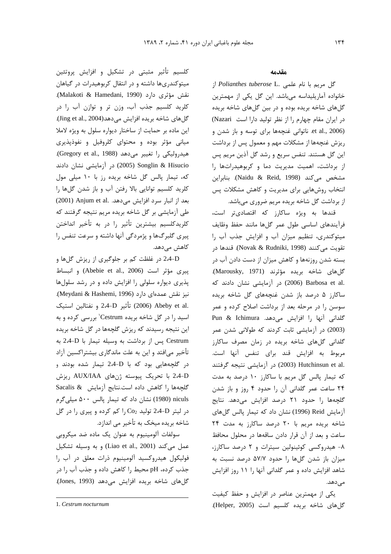کلسیم تأثیر مثبتی در تشکیل و افزایش پروتئین میتوکندریها داشته و در انتقال کربوهیدرات در گیاهان نقش مؤثري دارد (Malakoti & Hamedani, 1990). كلريد كلسيم جذب آب، وزن تر و توازن آب را در گل های شاخه بریده افزایش می دهد(Jing et al., 2004. این ماده بر حمایت از ساختار دیواره سلول به ویژه لاملا میانی مؤثر بوده و محتوای کلروفیل و نفوذپذیری هيدروليكي را تغيير مي دهد (Gregory et al., 1988). Songlin & Hisucio (2005) در آزمایشی نشان دادند که، تیمار پالس گل شاخه بریده رز با ١٠ میلی مول کلرید کلسیم توانایی بالا رفتن آب و باز شدن گلها را بعد از انبار سرد افزايش مى دهد. .(2001) Anjum et al طی آزمایشی بر گل شاخه بریده مریم نتیجه گرفتند که كلريدكلسيم بيشترين تأثير را در به تأخير انداختن پیری گلبرگها و پژمردگی آنها داشته و سرعت تنفس را کاهش میدهد.

2،4-D در غلظت کم بر جلوگیری از ریزش گلها و ييري مؤثر است (Abebie et al., 2006) و انبساط پذیری دیواره سلولی را افزایش داده و در رشد سلولها نيز نقش عمدهاي دارد (Meydani & Hashemi, 1996). .24-D تأثير 2-4-D و نفتالين استيك (2006) 2.4-D اسید را در گل شاخه بریده Cestrum' بررسی کرده و به این نتیجه رسیدند که ریزش گلچهها در گل شاخه بریده Cestrum پس از برداشت به وسیله تیمار با 2،4-D به تأخیر میافتد و این به علت ماندگاری بیشتراکسین آزاد در گلچههایی بود که با D-2،4 تیمار شده بودند و 2،4-D با تحریک پیوسته ژنهای AUX/IAA ریزش كلچهها را كاهش داده است.نتايج آزمايش & Sacalis niculs (1980) نشان داد که تیمار یالس ۵۰۰ میلی گرم در ليتر 2،4-D توليد Co2 را كم كرده و پيرى را در گل شاخه بریده میخک به تأخیر می اندازد.

سولفات آلومینیوم به عنوان یک ماده ضد میکروبی عمل می كند (Liao et al., 2001) و به وسيله تشكيل فولیکول هیدروکسید آلومینیوم ذرات معلق در آب را جذب کرده، pH محیط را کاهش داده و جذب آب را در گلهای شاخه بریده افزایش می دهد (Jones, 1993).

#### مقدمه

گل مريم با نام علمي .Polianthes tuberose L خانواده آماریلیداسه میباشد. این گل یکی از مهمترین گلهای شاخه بریده بوده و در بین گلهای شاخه بریده در ایران مقام چهارم را از نظر تولید دارا است Nazari) et al., 2006). ناتوانی غنچهها برای توسه و باز شدن و ریزش غنچهها از مشکلات مهم و معمول پس از برداشت این گل هستند. تنفس سریع و رشد گل آذین مریم پس از برداشت، اهمیت مدیریت دما و کربوهیدراتها را مشخص میکند (Naidu & Reid, 1998). بنابراین انتخاب روشهایی برای مدیریت و کاهش مشکلات پس از برداشت گل شاخه بریده مریم ضروری میباشد.

قندها به ویژه ساکارز که اقتصادیتر است، فرآيندهاى اساسى طول عمر گلها مانند حفظ وظايف میتوکندری، تنظیم میزان آب و افزایش جذب آب را تقويت مي كنند (Novak & Rudniki, 1998). قندها در بسته شدن روزنهها و کاهش میزان از دست دادن آب در گلهای شاخه بریده مؤثرند (Marousky, 1971). .co (2006) Barbosa et al. در آزمایشی نشان دادند که ساکارز ۵ درصد باز شدن غنچههای گل شاخه بریده سوسن را در مرحله بعد از برداشت اصلاح کرده و عمر Pun & Ichimura .میدهد. Pun & Ichimura (2003) در آزمایشی ثابت کردند که طولانی شدن عمر گلدانی گلهای شاخه بریده در زمان مصرف ساکارز مربوط به افزایش قند برای تنفس آنها است. .Hutchinsun et al (2003) در آزمایشی نتیجه گرفتند که تیمار پالس گل مریم با ساکارز ۱۰ درصد به مدت ۲۴ ساعت عمر گلدانی آن را حدود ۴ روز و باز شدن گلجهها را حدود ۲۱ درصد افزایش می دهد. نتایج آزمایش Reid (1996) نشان داد که تیمار پالس گلهای شاخه بريده مريم با ٢٠ درصد ساكارز به مدت ٢۴ ساعت و بعد از آن قرار دادن ساقهها در محلول محافظ ۸- هیدروکسی کوئینولین سیترات و ۲ درصد ساکارز، میزان باز شدن گلها را حدود ۵۷/۷ درصد نسبت به شاهد افزایش داده و عمر گلدانی آنها را ۱۱ روز افزایش مے ردھد.

یکی از مهمترین عناصر در افزایش و حفظ کیفیت گلهای شاخه بریده کلسیم است (Helper, 2005).

<sup>1.</sup> Cestrum nocturnum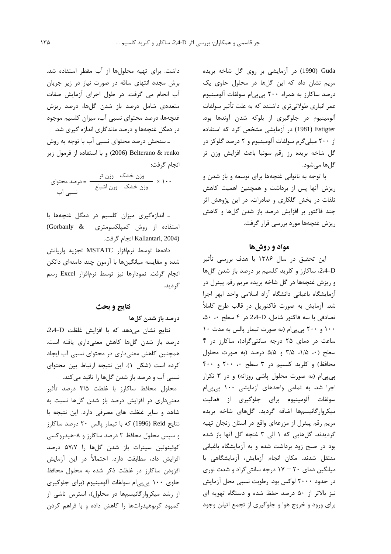Guda (1990) در آزمایشی بر روی گل شاخه بریده مریم نشان داد که این گلها در محلول حاوی یک درصد ساکارز به همراه ۲۰۰ پیپیام سولفات آلومینیوم عمر انباری طولانی¤ری داشتند که به علت تأثیر سولفات آلومینیوم در جلوگیری از بلوکه شدن آوندها بود. Estigter (1981) در آزمایشی مشخص کرد که استفاده از ۲۰۰ میلی گرم سولفات آلومینیوم و ۲ درصد گلوکز در گل شاخه بريده رز رقم سونيا باعث افزايش وزن تر گلها می شود.

با توجه به ناتوانی غنچهها برای توسعه و باز شدن و ریزش آنها پس از برداشت و همچنین اهمیت کاهش تلفات در بخش گلکاری و صادرات، در این پژوهش اثر چند فاکتور بر افزایش درصد باز شدن گلها و کاهش ریزش غنچهها مورد بررسی قرار گرفت.

### مواد و روشها

این تحقیق در سال ۱۳۸۶ با هدف بررسی تأثیر 2.4-D، ساكارز و كلريد كلسيم بر درصد باز شدن گلها و ريزش غنچهها در گل شاخه بريده مريم رقم پيئرل در آزمايشكاه باغبانى دانشكاه آزاد اسلامى واحد ابهر اجرا شد. آزمایش به صورت فاکتوریل در قالب طرح کاملاً تصادفی با سه فاکتور شامل، D-2.4 در ۴ سطح ۵۰، ۵۰ ۱۰۰ و ۲۰۰ پی پی ام (به صورت تیمار پالس به مدت ۱۰ ساعت در دمای ۲۵ درجه سانتی گراد)، ساکارز در ۴ سطح (۰، ۱/۵، ۳/۵ و ۵/۵ درصد (به صورت محلول محافظ) و کلرید کلسیم در ۳ سطح ۲۰۰ و ۴۰۰ پی پیام (به صورت محلول پاشی روزانه) و در ٣ تکرار اجرا شد. به تمامی واحدهای آزمایشی ۱۰۰ پی پی ام سولفات آلومینیوم برای جلوگیری از فعالیت میکروارگانیسمها اضافه گردید. گلهای شاخه بریده مريم رقم پيئرل از مزرعهاى واقع در استان زنجان تهيه گردیدند. گلهایی که ۱ الی ۳ غنچه گل آنها باز شده بود در صبح زود برداشت شده و به آزمایشگاه باغبانی منتقل شدند. مكان انجام آزمايش، آزمايشگاهى با میانگین دمای ۲۰ – ۱۷ درجه سانتی گراد و شدت نوری در حدود ۲۰۰۰ لوکس بود. رطوبت نسبی محل آزمایش نیز بالاتر از ۵۰ درصد حفظ شده و دستگاه تهویه ای برای ورود و خروج هوا و جلوگیری از تجمع اتیلن وجود

داشت. برای تهیه محلولها از آب مقطر استفاده شد. برش مجدد انتهای ساقه در صورت نیاز در زیر جریان آب انجام می گرفت. در طول اجرای آزمایش صفات متعددی شامل درصد باز شدن گلها، درصد ریزش غنچهها، درصد محتواي نسبي آب، ميزان كلسيم موجود در دمگل غنچهها و درصد ماندگاری اندازه گیری شد.

ـ سنجش درصد محتوای نسبی آب با توجه به روش 2006) Belterano & renko و با استفاده از فرمول زير انجام گرفت:

وزن خشک – وزن تر 
$$
= 2\cos\theta
$$

ـ اندازهگیری میزان کلسیم در دمگل غنچهها با استفاده از روش کمپلکسومتری & Gorbanly) (Kallantari, 2004 انجام گرفت.

دادهها توسط نرمافزار MSTATC تجزيه واريانش شده و مقایسه میانگینها با آزمون چند دامنهای دانکن انجام گرفت. نمودارها نیز توسط نرمافزار Excel رسم گر دید.

# نتايج و بحث

### درصد باز شدن گلها

نتايج نشان مى دهد كه با افزايش غلظت D-2.4. درصد باز شدن گلها کاهش معنیداری یافته است. همچنین کاهش معنیداری در محتوای نسبی آب ایجاد كرده است (شكل ١). اين نتيجه ارتباط بين محتواى نسبی آب و درصد باز شدن گلها را تائید میکند.

محلول محافظ ساكارز با غلظت ۳/۵ درصد تأثير معنیداری در افزایش درصد باز شدن گلها نسبت به شاهد و سایر غلظت های مصرفی دارد. این نتیجه با نتايج Reid (1996) كه با تيمار پالس ٢٠ درصد ساكارز و سپس محلول محافظ ۲ درصد ساکارز و ۸-هیدروکسی کوئینولین سیترات باز شدن گلها را ۵۷/۷ درصد افزایش داد، مطابقت دارد. احتمالاً در این آزمایش افزودن ساكارز در غلظت ذكر شده به محلول محافظ حاوی ۱۰۰ پی پیام سولفات آلومینیوم (برای جلوگیری از رشد میکروارگانیسمها در محلول)، استرس ناشی از کمبود کربوهیدراتها را کاهش داده و با فراهم کردن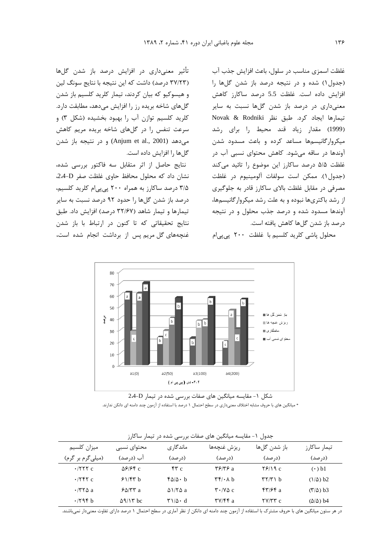تأثیر معنے،داری در افزایش درصد باز شدن گلها (۳۷/۲۳ درصد) داشت که این نتیجه با نتایج سونگ لین و هیسوکیو که بیان کردند، تیمار کلرید کلسیم باز شدن گلهای شاخه بریده رز را افزایش میدهد، مطابقت دارد. کلريد کلسيم توازن آب را بهبود بخشيده (شکل ٣) و سرعت تنفس را در گلهای شاخه بریده مریم کاهش مي دهد (Anjum et al., 2001) و در نتيجه باز شدن گل ها را افزایش داده است.

نتايج حاصل از اثر متقابل سه فاكتور بررسى شده، نشان داد که محلول محافظ حاوی غلظت صفر D-2.4. ۳/۵ درصد ساکارز به همراه ۲۰۰ پی پی ام کلرید کلسیم، درصد باز شدن گلها را حدود ۹۲ درصد نسبت به سایر تیمارها و تیمار شاهد (۳۲/۶۷ درصد) افزایش داد. طبق نتايج تحقيقاتي كه تا كنون در ارتباط با باز شدن غنجههای گل مریم پس از برداشت انجام شده است،

غلظت اسمزي مناسب در سلول، باعث افزايش جذب آب (جدول ۱) شده و در نتیجه درصد باز شدن گلها را افزایش داده است. غلظت 5.5 درصد ساکارز کاهش معنیداری در درصد باز شدن گلها نسبت به سایر تيمارها ايجاد كرد. طبق نظر Novak & Rodniki (1999) مقدار زياد قند محيط را براى رشد میکروار گانیسمها مساعد کرده و باعث مسدود شدن آوندها در ساقه میشود. کاهش محتوای نسبی آب در غلظت ۵/۵ درصد ساكارز اين موضوع را تائيد مى كند (جدول ١). ممكن است سولفات آلومينيوم در غلظت مصرفی در مقابل غلظت بالای ساکارز قادر به جلوگیری از رشد باکتریها نبوده و به علت رشد میکروار گانیسمها، آوندها مسدود شده و درصد جذب محلول و در نتیجه درصد باز شدن گلها کاهش یافته است.





شکل ۱- مقایسه میانگین های صفات بررسی شده در تیمار D-2.4

\* میانگین های با حروف مشابه اختلاف معنیداری در سطح احتمال ۱ درصد با استفاده از آزمون چند دامنه ای دانکن ندارند.

| ميزان كلسيم      | محتواي نسبي      | ماندگاری                      | ريزش غنچەھا                                                        | باز شدن گلها                           | تیمار ساکارز                      |
|------------------|------------------|-------------------------------|--------------------------------------------------------------------|----------------------------------------|-----------------------------------|
| (میلیگرم بر گرم) | آب (درصد)        | (د, صد)                       | (د, صد)                                                            | (د, صد)                                | (د, صد)                           |
| $\cdot$ /۲۲۲ c   | $\Delta$ ۶۱۶۴ c  | $\mathbf{r} \cdot \mathbf{r}$ | $\mathbf{Y}$ $\mathbf{Y}$ $\mathbf{Y}$ $\mathbf{Y}$ $\mathbf{Z}$ a | $Y$ $9/19c$                            | $(\cdot)$ b1                      |
| $\cdot$ /۲۴۲ c   | 51/57 h          | ۴۵/۵۰ b                       | $\mathbf{r} \mathbf{r} / \cdot \mathbf{A}$ b                       | $\mathbf{r} \mathbf{r} / \mathbf{r}$ b | $(\frac{\lambda}{\Delta})$ b2     |
| $\cdot$ /۳۲۵ a   | $8\Delta$ /۳۳ a  | $\Delta$ 1/7 $\Delta$ a       | $\mathbf{Y} \cdot \mathbf{V} \Delta \mathbf{c}$                    | $f''/f''$ a                            | $(\mathbf{r}/\mathbf{\Delta})$ b3 |
| .796b            | $\Delta$ 9/17 bc | ۳۱/۵۰ d                       | $\mathbf{y}/\mathbf{y}$ a                                          | $YV/YY$ c                              | $(\Delta/\Delta)$ b4              |

جدول ١- مقايسه ميانگين هاي صفات بررسي شده در تيمار ساكارز

در هر ستون میانگین های با حروف مشترک با استفاده از آزمون چند دامنه ای دانکن از نظر آماری در سطح احتمال ۱ درصد دارای تفاوت معنیدار نمیباشند.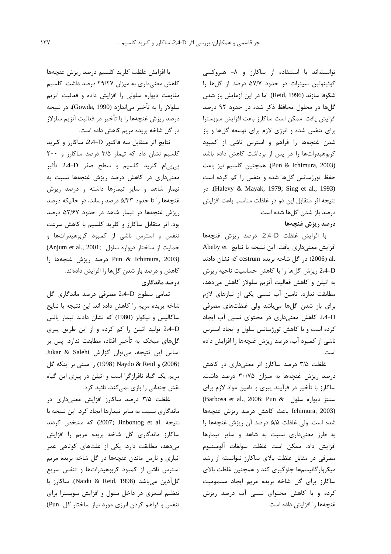توانستهاند با استنفاده از ساكارز و ٨- هيروكسي کوئینولین سیترات در حدود ۵۷/۷ درصد از گلها را شكوفا سازند (Reid, 1996). اما در اين آزمايش باز شدن گلها در محلول محافظ ذکر شده در حدود ۹۲ درصد افزايش يافت. ممكن است ساكارز باعث افزايش سوبسترا برای تنفس شده و انرژی لازم برای توسعه گلها و باز شدن غنچهها را فراهم و استرس ناشی از کمبود کربوهیدراتها را در پس از برداشت کاهش داده باشد (Pun & Ichimura, 2003). همچنین کلسیم نیز باعث حفظ تورژسانس گلها شده و تنفس را کم کرده است در (Halevy & Mayak, 1979; Sing et al., 1993). در نتيجه اثر متقابل اين دو در غلظت مناسب باعث افزايش درصد باز شدن گلها شده است.

### درصد ريزش غنچهها

با افزایش غلظت 2،4-D، درصد ریزش غنچهها افزایش معنیداری یافت. این نتیجه با نتایج Abeby et .al (2006) در گل شاخه بریده cestrum که نشان دادند 2،4-D ریزش گلها را با کاهش حساسیت ناحیه ریزش به اتیلن و کاهش فعالیت آنزیم سلولاز کاهش میدهد، مطابقت ندارد. تامین آب نسبی یکی از نیازهای لازم برای باز شدن گلها میباشد ولی غلظتهای مصرفی 2.4-D كاهش معنى دارى در محتواى نسبى أب ايجاد کرده است و با کاهش تورژسانس سلول و ایجاد استرس ناشی از کمبود آب، درصد ریزش غنچهها را افزایش داده است.

غلظت ۳/۵ درصد ساکارز اثر معنیداری در کاهش درصد ریزش غنچهها به میزان ۳۰/۷۵ درصد داشت. ساکارز با تأخیر در فرآیند پیری و تامین مواد لازم برای (Barbosa et al., 2006; Pun & سنتز ديواره سلول Barbosa et al., 2006; Ichimura, 2003) باعث كاهش درصد ريزش غنچهها شده است. ولي غلظت ۵/۵ درصد آن ريزش غنچهها را به طرز معنى دارى نسبت به شاهد و ساير تيمارها افزايش داد. ممكن است غلظت سولفات آلومينيوم مصرفی در مقابل غلظت بالای ساکارز نتوانسته از رشد میکروار گانیسمها جلوگیری کند و همچنین غلظت بالای ساکارز برای گل شاخه بریده مریم ایجاد مسمومیت کرده و با کاهش محتوای نسبی آب درصد ریزش غنچهها را افزایش داده است.

با افزایش غلظت کلرید کلسیم درصد ریزش غنچهها کاهش معنیداری به میزان ۲۹/۲۷ درصد داشت. کلسیم مقاومت دیواره سلولی را افزایش داده و فعالیت آنزیم سلولاز را به تأخير مي|ندازد (Gowda, 1990)، در نتيجه درصد ريزش غنچەها را با تأخير در فعاليت آنزيم سلولاز در گل شاخه بریده مریم کاهش داده است.

نتايج اثر متقابل سه فاكتور D-2،4، ساكارز و كلريد کلسیم نشان داد که تیمار ۳/۵ درصد ساکارز و ۲۰۰ پی پیام کلرید کلسیم و سطح صفر D-2،4 تأثیر معنیداری در کاهش درصد ریزش غنچهها نسبت به تیمار شاهد و سایر تیمارها داشته و درصد ریزش غنچهها را تا حدود ۵/۳۳ درصد رساند، در حالیکه درصد ریزش غنچهها در تیمار شاهد در حدود ۵۲/۶۷ درصد بود. اثر متقابل ساکارز و کلرید کلسیم با کاهش سرعت تنفس و استرس ناشی از کمبود کربوهیدراتها و (Anjum et al., 2001; ساختار ديواره سلول) رصد ريزش غنجهها راPun & Ichimura, 2003) كاهش و درصد باز شدن گلها را افزايش دادهاند. درصد ماندگاری

تمامی سطوح D-2،4 مصرفی درصد ماندگاری گل شاخه بريده مريم را كاهش داده اند. اين نتيجه با نتايج ساكاليس و نيكولز (1980) كه نشان دادند تيمار پالس 2.4-D تولید اتیلن را کم کرده و از این طریق پیری گلهای میخک به تأخیر افتاد، مطابقت ندارد. پس بر اساس این نتیجه، میتوان گزارش Jukar & Salehi (2006) و Naydo & Reid (1998) را مبنى بر اينكه گل مریم یک گیاه نافرازگرا است و اتیلن در پیری این گیاه نقش چندانی را بازی نمیکند، تائید کرد.

غلظت ۳/۵ درصد ساکارز افزایش معنیداری در ماندگاری نسبت به سایر تیمارها ایجاد کرد. این نتیجه با نتیجه .Jinbontog et al (2007) که مشخص کردند ساکارز ماندگاری گل شاخه بریده مریم را افزایش می دهد، مطابقت دارد. یکی از علتهای کوتاهی عمر انباری و نارس ماندن غنچهها در گل شاخه بریده مریم استرس ناشی از کمبود کربوهیدراتها و تنفس سریع گل آذين ميباشد (Naidu & Reid, 1998). ساكارز با تنظیم اسمزی در داخل سلول و افزایش سوبسترا برای تنفس و فراهم كردن انرژى مورد نياز ساختار گل Pun)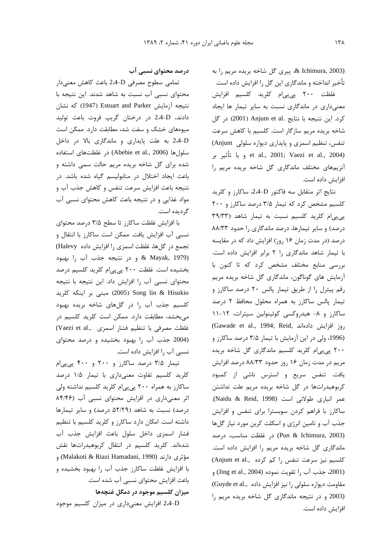& Ichimura, 2003)، پیری گل شاخه بریده مریم را به تأخیر انداخته و ماندگاری این گل را افزایش داده است.

غلظت ۲۰۰ پیپیام کلرید کلسیم افزایش معنیداری در ماندگاری نسبت به سایر تیمار ها ایجاد كرد. اين نتيجه با نتايج .Anjum et al (2001) در گل شاخه بریده مریم سازگار است. کلسیم با کاهش سرعت تنفس، تنظیم اسمزی و پایداری دیواره سلولی Anjum) et al., 2001; Vaezi et al., 2004) وبا تأثير بر أنزيمهاي مختلف ماندگاري گل شاخه بريده مريم را افزايش داده است.

نتايج اثر متقابل سه فاكتور D-2،4، ساكارز و كلريد کلسیم مشخص کرد که تیمار ۳/۵ درصد ساکارز و ۲۰۰ یی یی ام کلرید کلسیم نسبت به تیمار شاهد (۳۹/۳۳ درصد) و سایر تیمارها، درصد ماندگاری را حدود ۸۸/۳۳ درصد (در مدت زمان ۱۶ روز) افزایش داد که در مقایسه با تیمار شاهد ماندگاری را ۲ برابر افزایش داده است. بررسی منابع مختلف مشخص کرد که تا کنون با أزمایش های گوناگون، ماندگاری گل شاخه بریده مریم رقم پیئرل را از طریق تیمار پالس ٢٠ درصد ساكارز و تیمار یالس ساکارز به همراه محلول محافظ ۲ درصد ساکارز و ۸- هیدروکسی کوئینولین سیترات، ۱۲-۱۱ (Gawade et al., 1994; Reid, دوز افزايش دادهاند) (1996، ولی در این آزمایش با تیمار ۳/۵ درصد ساکارز و ۲۰۰ پی پی ام کلرید کلسیم ماندگاری گل شاخه بریده مریم در مدت زمان ۱۶ روز حدود ۸۸/۳۳ درصد افزایش یافت. تنفس سریع و استرس ناشی از کمبود كربوهيدراتها در گل شاخه بريده مريم علت نداشتن عمر انباري طولاني است (Naidu & Reid, 1998). ساکارز با فراهم کردن سوبسترا برای تنفس و افزایش جذب آب و تامین انرژی و اسکلت کربن مورد نیاز گلها (Pun & Ichimura, 2003) در غلظت مناسب، درصد ماندگاری گل شاخه بریده مریم را افزایش داده است. كلسيم نيز سرعت تنفس را كم كرده ..(Anjum et al (2001، جذب آب ,ا تقويت نموده (Jing et al., 2004) و مقاومت دیواره سلولی را نیز افزایش داده .Guyde et al., (2003 و در نتیجه ماندگاری گل شاخه بریده مریم را افزايش داده است.

درصد محتوای نسبی آب

تمامی سطوح مصرفی D-2،4 باعث کاهش معنیدار محتوای نسبی آب نسبت به شاهد شدند. این نتیجه با نتيجه آزمايش Estuart and Parker (1947) كه نشان دادند، 2-4-D در درختان گريپ فروت باعث توليد میوههای خشک و سفت شد، مطابقت دارد. ممکن است 2،4-D به علت پایداری و ماندگاری بالا در داخل سلولها (Abebie et al., 2006) در غلظتهای استفاده شده برای گل شاخه بریده مریم حالت سمی داشته و باعث ایجاد اختلال در متابولیسم گیاه شده باشد. در نتيجه باعث افزايش سرعت تنفس و كاهش جذب آب و مواد غذایی و در نتیجه باعث کاهش محتوای نسبی آب گر دیده است.

با افزایش غلظت ساکارز تا سطح ۳/۵ درصد محتوای نسبی آب افزایش یافت. ممکن است ساکارز با انتقال و تجمع در گلها، غلظت اسمزي را افزايش داده Halevy) & Mayak, 1979) و در نتيجه جذب آب را بهبود بخشیده است. غلظت ۲۰۰ پی پی ام کلرید کلسیم درصد محتوای نسبی آب را افزایش داد. این نتیجه با نتیجه Song lin & Hisukio (2005) مبنى بر اينكه كلريد کلسیم جذب آب را در گلهای شاخه بریده بهبود می بخشد، مطابقت دارد. ممکن است کلرید کلسیم در غلظت مصرفى با تنظيم فشار اسمزى ..Vaezi et al (2004 جذب آب را بهبود بخشیده و درصد محتوای نسبی آب را افزایش داده است.

تیمار ۳/۵ درصد ساکارز و ۲۰۰ و ۴۰۰ یی یی ام کلرید کلسیم تفاوت معنیداری با تیمار ۱/۵ درصد ساکارز به همراه ۲۰۰ پی پی ام کلرید کلسیم نداشته ولی اثر معنیداری در افزایش محتوای نسبی آب (٨۴/۴۶ درصد) نسبت به شاهد (۵۲/۲۹ درصد) و سایر تیمارها داشته است. امکان دارد ساکارز و کلرید کلسیم با تنظیم فشار اسمزی داخل سلول باعث افزایش جذب آب شدهاند. کلرید کلسیم در انتقال کربوهیدراتها نقش مؤثري دارند (Malakoti & Riazi Hamadani, 1990) و با افزایش غلظت ساکارز جذب آب را بهبود بخشیده و باعث افزایش محتوای نسبی آب شده است. میزان کلسیم موجود در دمگل غنچهها

2،4-D افزایش معنیداری در میزان کلسیم موجود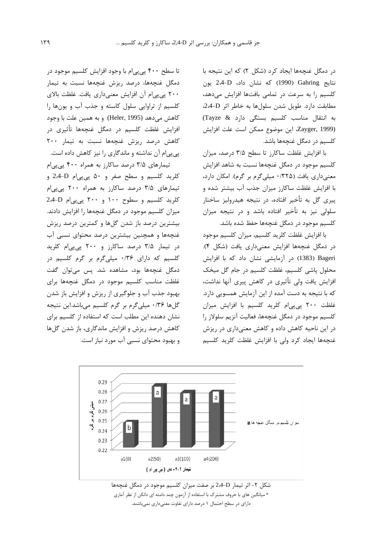در دمگل غنچهها ایجاد کرد (شکل ۲) که این نتیجه با نتايج Gahring (1990) كه نشان داد، 2،4-D يون كلسيم را به سرعت در تمامى بافتها افزايش مى دهد، مطابقت دارد. طویل شدن سلولها به خاطر اثر D-2.4. به انتقال مناسب كلسيم بستكى دارد & Tayze) Zayger, 1999). این موضوع ممکن است علت افزایش كلسيم در دمگل غنچهها باشد.

با افزایش غلظت ساکارز تا سطح ۳/۵ درصد، میزان كلسيم موجود در دمگل غنچهها نسبت به شاهد افزايش معنی داری یافت (۳۲۵/۰ میلی گرم بر گرم). امکان دارد، با افزایش غلظت ساکارز میزان جذب آب بیشتر شده و ييري گل به تأخير افتاده، در نتيجه هيدروليز ساختار سلولی نیز به تأخیر افتاده باشد و در نتیجه میزان كلسيم موجود در دمگل غنچهها حفظ شده باشد.

با افزایش غلظت کلرید کلسیم، میزان کلسیم موجود در دمگل غنچهها افزایش معنیداری یافت (شکل ۴). Bageri (1383) در آزمایشی نشان داد که با افزایش محلول یاشی کلسیم، غلظت کلسیم در جام گل میخک افزایش یافت ولی تأثیری در کاهش پیری آنها نداشت، که با نتیجه به دست آمده از این آزمایش همسویی دارد. غلظت ٢٠٠ پي پي ام كلريد كلسيم با افزايش ميزان كلسيم موجود در دمگل غنچهها، فعاليت آنزيم سلولاز را در این ناحیه کاهش داده و کاهش معنیداری در ریزش غنچهها ایجاد کرد ولی با افزایش غلظت کلرید کلسیم

تا سطح ۴۰۰ پی پی|م با وجود افزایش کلسیم موجود در دمگل غنچەها، درصد ريزش غنچەها نسبت به تيمار ۲۰۰ یی ییام آن افزایش معنیداری یافت. غلظت بالای كلسيم از تراوايي سلول كاسته و جذب آب و يونها را كاهش مىدهد (Heler, 1995) و به همين علت با وجود افزایش غلظت کلسیم در دمگل غنچهها تأثیری در كاهش درصد ريزش غنجهها نسبت به تيمار ٢٠٠ یی یی ام آن نداشته و ماندگاری را نیز کاهش داده است.

تیمارهای ۳/۵ درصد ساکارز به همراه ۴۰۰ پیپیام کلرید کلسیم و سطح صفر و ۵۰ پی پی ام D-2،4 و تیمارهای ۳/۵ درصد ساکارز به همراه ۲۰۰ پیپیام کلرید کلسیم و سطوح ۱۰۰ و ۲۰۰ پی پی ام 2.4-D میزان کلسیم موجود در دمگل غنچهها را افزایش دادند. بیشترین درصد باز شدن گلها و کمترین درصد ریزش غنچهها و همچنین بیشترین درصد محتوای نسبی آب در تیمار ۳/۵ درصد ساکارز و ۲۰۰ پیپیام کلرید کلسیم که دارای ۰/۳۶ میلیگرم بر گرم کلسیم در دمگل غنچەھا بود، مشاھدە شد. پس مے،توان گفت غلظت مناسب كلسيم موجود در دمگل غنجهها براى بهبود جذب آب و جلوگیری از ریزش و افزایش باز شدن گلها ۰/۳۶ میلیگرم بر گرم کلسیم میباشد.این نتیجه نشان دهنده این مطلب است که استفاده از کلسیم برای کاهش درصد ریزش و افزایش ماندگاری، باز شدن گلها و بهبود محتوای نسبی آب مورد نیاز است.



\* میانگین های با حروف مشترک با استفاده از آزمون چند دامنه ای دانکن از نظر آماری دارای در سطح احتمال ۱ درصد دارای تفاوت معنیداری نمیباشند.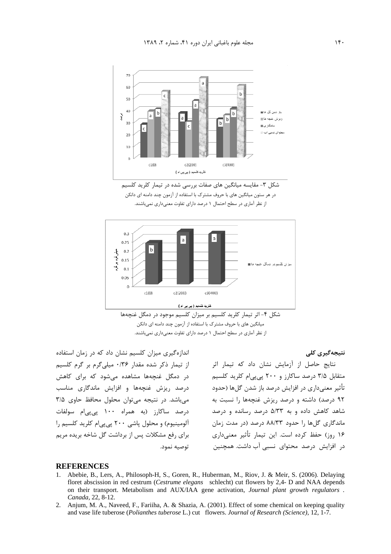







اندازهگیری میزان کلسیم نشان داد که در زمان استفاده از تیمار ذکر شده مقدار ۰/۳۶ میلی گرم بر گرم کلسیم در دمگل غنچهها مشاهده میشود که برای کاهش درصد ریزش غنچهها و افزایش ماندگاری مناسب می باشد. در نتیجه می توان محلول محافظ حاوی ۳/۵ درصد ساكارز (به همراه ۱۰۰ پی پی|م سولفات آلومینیوم) و محلول پاشی ۲۰۰ پی پی ام کلرید کلسیم را برای رفع مشکلات پس از برداشت گل شاخه بریده مریم توصيه نمود.

نتیجەگیری کلی

نتایج حاصل از آزمایش نشان داد که تیمار اثر متقابل ۳/۵ درصد ساکارز و ۲۰۰ پیپیام کلرید کلسیم تأثیر معنیداری در افزایش درصد باز شدن گلها (حدود ۹۲ درصد) داشته و درصد ریزش غنجهها را نسبت به شاهد کاهش داده و به ۵/۳۳ درصد رسانده و درصد ماندگاری گلها را حدود ۸۸/۳۳ درصد (در مدت زمان ۱۶ روز) حفظ کرده است. این تیمار تأثیر معنیداری در افزایش درصد محتوای نسبی آب داشت. همچنین

#### **REFERENCES**

- Abebie, B., Lers, A., Philosoph-H, S., Goren, R., Huberman, M., Riov, J. & Meir, S. (2006). Delaying  $1_{-}$ floret abscission in red cestrum (Cestrume elegans schlecht) cut flowers by 2,4- D and NAA depends on their transport. Metabolism and AUX/IAA gene activation, *Journal plant growth regulators*. Canada, 22, 8-12.
- 2. Anjum, M. A., Naveed, F., Fariiha, A. & Shazia, A. (2001). Effect of some chemical on keeping quality and vase life tuberose (Polianthes tuberose L.) cut flowers. Journal of Research (Science), 12, 1-7.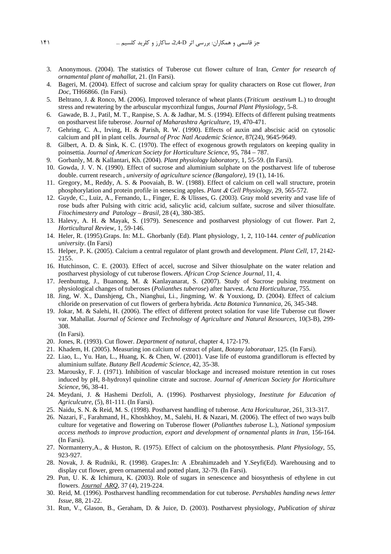- 3. Anonymous. (2004). The statistics of Tuberose cut flower culture of Iran, *Center for research of ornamental plant of mahallat*, 21. (In Farsi).
- 4. Bageri, M. (2004). Effect of sucrose and calcium spray for quality characters on Rose cut flower, *Iran Doc*, TH66866. (In Farsi).
- 5. Beltrano, J. & Ronco, M. (2006). Improved tolerance of wheat plants (*Triticum aestivum* L.) to drought stress and rewatering by the arbuscular mycorrhizal fungus, *Journal Plant Physiology*, 5-8.
- 6. Gawade, B. J., Patil, M. T., Ranpise, S. A. & Jadhar, M. S. (1994). Effects of different pulsing treatments on postharvest life tuberose. *Journal of Maharashtra Agriculture*, 19, 470-471.
- 7. Gehring, C. A., Irving, H. & Parish, R. W. (1990). Effects of auxin and abscisic acid on cytosolic calcium and pH in plant cells. *Journal of Proc Natl Academic Science*, 87(24), 9645-9649.
- 8. Gilbert, A. D. & Sink, K. C. (1970). The effect of exogenous growth regulators on keeping quality in poinsettia. *Journal of American Society for Horticulture Science*, 95, 784 – 787.
- 9. Gorbanly, M. & Kallantari, Kh. (2004). *Plant physiology laboratory*, 1, 55-59. (In Farsi).
- 10. Gowda, J. V. N. (1990). Effect of sucrose and aluminium sulphate on the postharvest life of tuberose double. current research , *university of agriculture science (Bangalore)*, 19 (1), 14-16.
- 11. Gregory, M., Reddy, A. S. & Poovaiah, B. W. (1988). Effect of calcium on cell wall structure, protein phosphorylation and protein profile in senescing apples. *Plant* & *Cell Physiology*, 29, 565-572.
- 12. Guyde, C., Luiz, A., Fernando, L., Finger, E. & Ulisses, G. (2003). Gray mold severity and vase life of rose buds after Pulsing with citric acid, salicylic acid, calcium sulfate, sucrose and silver thiosulfate. *Fitochimestery and Patology – Brasil*, 28 (4), 380-385.
- 13. Halevy, A. H. & Mayak, S. (1979). Senescence and postharvest physiology of cut flower. Part 2, *Horticultural Revi*ew, 1, 59-146.
- 14. Heler, R. (1995).Graps. In: M.L. Ghorbanly (Ed). Plant physiology, 1, 2, 110-144. *center of publication university*. (In Farsi)
- 15. Helper, P. K. (2005). Calcium a central regulator of plant growth and development. *Plant Cell*, 17, 2142- 2155.
- 16. Hutchinson, C. E. (2003). Effect of accel, sucrose and Silver thiosulphate on the water relation and postharvest physiology of cut tuberose flowers. *African Crop Science Journal*, 11, 4.
- 17. Jeenbuntug, J., Buanong, M. & Kanlayanarat, S. (2007). Study of Sucrose pulsing treatment on physiological changes of tuberoses (*Polianthes tuberose*) after harvest. *Acta Horticulturae*, 755.
- 18. Jing, W. X., Danshjeng, Ch., Nianghui, Li., Jingming, W. & Youxiong, D. (2004). Effect of calcium chloride on preservation of cut flowers of gerbera hybrida. *Acta Botanica Yunnanica*, 26, 345-348.
- 19. Jokar, M. & Salehi, H. (2006). The effect of different protect solation for vase life Tuberose cut flower var. Mahallat. *Journal of Science and Technology of Agriculture and Natural Resources*, 10(3-B), 299- 308.

(In Farsi).

- 20. Jones, R. (1993). Cut flower. *Department of natural*, chapter 4, 172-179.
- 21. Khadem, H. (2005). Measuring ion calcium of extract of plant, *Botany laboratuar*, 125. (In Farsi).
- 22. Liao, L., Yu. Han, L., Huang, K. & Chen, W. (2001). Vase life of eustoma grandiflorum is effected by aluminium sulfate. *Butany Bell Academic Science,* 42, 35-38.
- 23. Marousky, F. J. (1971). Inhibition of vascular blockage and increased moisture retention in cut roses induced by pH, 8-hydroxyl quinoline citrate and sucrose. *Journal of American Society for Horticulture Science*, 96, 38-41.
- 24. Meydani, J. & Hashemi Dezfoli, A. (1996). Postharvest physiology, *Inestitute for Education of Agriculcutre*, (5), 81-111. (In Farsi).
- 25. Naidu, S. N. & Reid, M. S. (1998). Postharvest handling of tuberose. *Acta Horiculturae*, 261, 313-317.
- 26. Nazari, F., Farahmand, H., Khoshkhoy, M., Salehi, H. & Nazari, M. (2006). The effect of two ways bulb culture for vegetative and flowering on Tuberose flower (*Polianthes tuberose* L.), *National symposium access methods to improve production, export and development of ornamental plants in Iran*, 156-164. (In Farsi).
- 27. Normanterry,A., & Huston, R. (1975). Effect of calcium on the photosynthesis. *Plant Physiology*, 55, 923-927.
- 28. Novak, J. & Rudniki, R. (1998). Grapes.In: A .Ebrahimzadeh and Y.Seyfi(Ed). Warehousing and to display cut flower, green ornamental and potted plant, 32-79. (In Farsi).
- 29. Pun, U. K. & Ichimura, K. (2003). Role of sugars in senescence and biosynthesis of ethylene in cut flowers. *Journal ARQ*, 37 (4), 219-224.
- 30. Reid, M. (1996). Postharvest handling recommendation for cut tuberose. *Pershables handing news letter Issue*, 88, 21-22.
- 31. Run, V., Glason, B., Geraham, D. & Juice, D. (2003). Postharvest physiology, *Publication of shiraz*